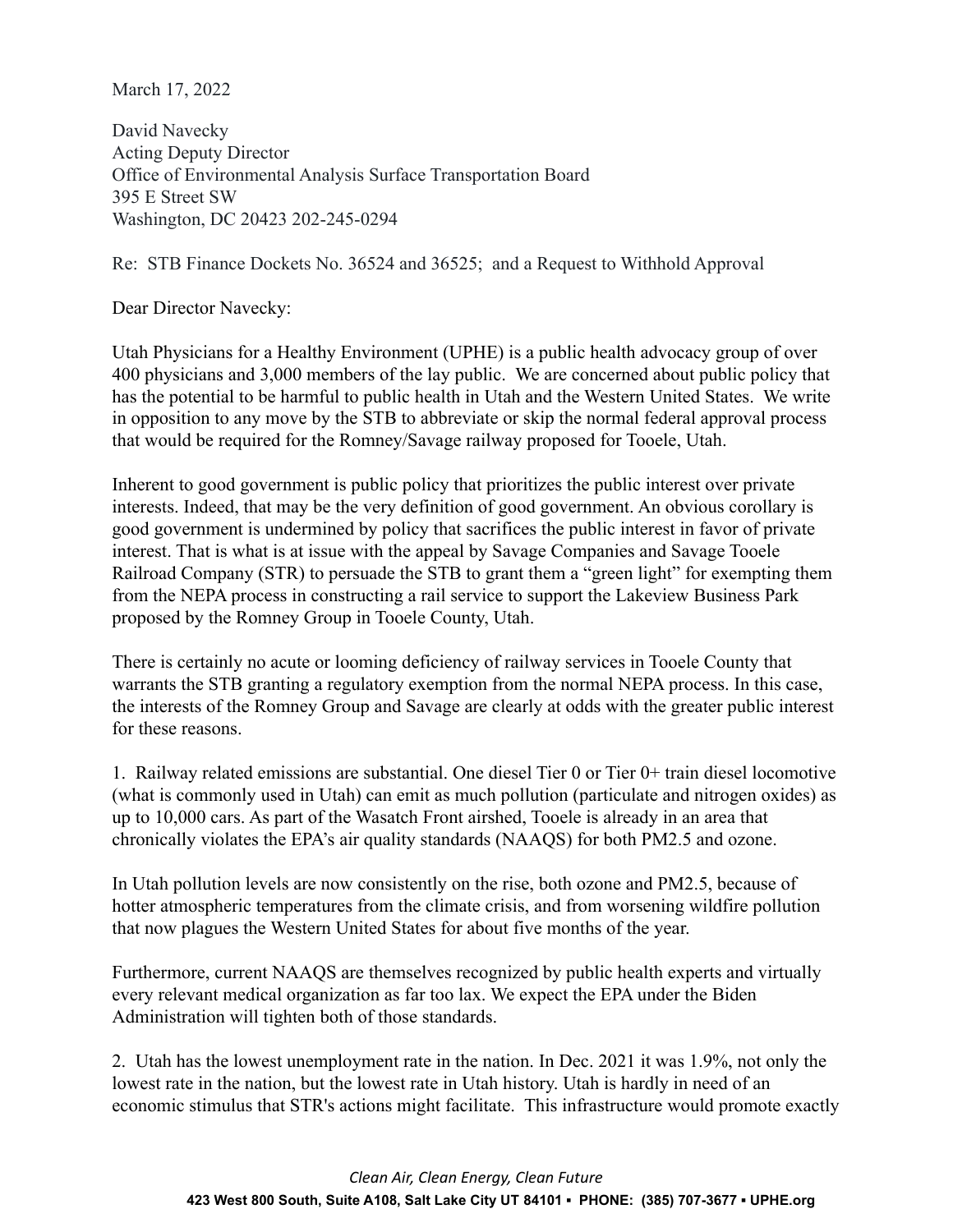March 17, 2022

David Navecky Acting Deputy Director Office of Environmental Analysis Surface Transportation Board 395 E Street SW Washington, DC 20423 202-245-0294

Re: STB Finance Dockets No. 36524 and 36525; and a Request to Withhold Approval

Dear Director Navecky:

Utah Physicians for a Healthy Environment (UPHE) is a public health advocacy group of over 400 physicians and 3,000 members of the lay public. We are concerned about public policy that has the potential to be harmful to public health in Utah and the Western United States. We write in opposition to any move by the STB to abbreviate or skip the normal federal approval process that would be required for the Romney/Savage railway proposed for Tooele, Utah.

Inherent to good government is public policy that prioritizes the public interest over private interests. Indeed, that may be the very definition of good government. An obvious corollary is good government is undermined by policy that sacrifices the public interest in favor of private interest. That is what is at issue with the appeal by Savage Companies and Savage Tooele Railroad Company (STR) to persuade the STB to grant them a "green light" for exempting them from the NEPA process in constructing a rail service to support the Lakeview Business Park proposed by the Romney Group in Tooele County, Utah.

There is certainly no acute or looming deficiency of railway services in Tooele County that warrants the STB granting a regulatory exemption from the normal NEPA process. In this case, the interests of the Romney Group and Savage are clearly at odds with the greater public interest for these reasons.

1. Railway related emissions are substantial. One diesel Tier 0 or Tier 0+ train diesel locomotive (what is commonly used in Utah) can emit as much pollution (particulate and nitrogen oxides) as up to 10,000 cars. As part of the Wasatch Front airshed, Tooele is already in an area that chronically violates the EPA's air quality standards (NAAQS) for both PM2.5 and ozone.

In Utah pollution levels are now consistently on the rise, both ozone and PM2.5, because of hotter atmospheric temperatures from the climate crisis, and from worsening wildfire pollution that now plagues the Western United States for about five months of the year.

Furthermore, current NAAQS are themselves recognized by public health experts and virtually every relevant medical organization as far too lax. We expect the EPA under the Biden Administration will tighten both of those standards.

2. Utah has the lowest unemployment rate in the nation. In Dec. 2021 it was 1.9%, not only the lowest rate in the nation, but the lowest rate in Utah history. Utah is hardly in need of an economic stimulus that STR's actions might facilitate. This infrastructure would promote exactly